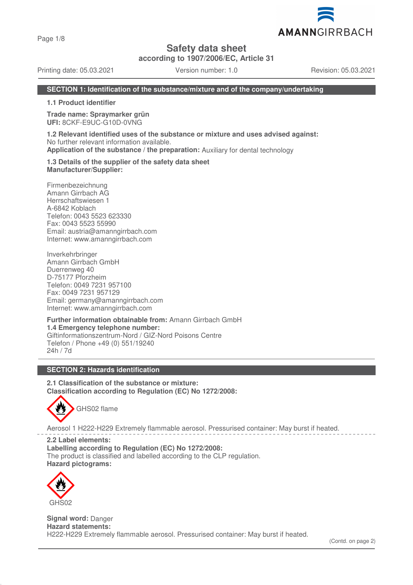Page 1/8

**Safety data sheet**

**according to 1907/2006/EC, Article 31**

Printing date: 05.03.2021 Version number: 1.0 Revision: 05.03.2021

AMANNGIRRBACH

## **SECTION 1: Identification of the substance/mixture and of the company/undertaking**

**1.1 Product identifier**

**Trade name: Spraymarker grün UFI:** 8CKF-E9UC-G10D-0VNG

**1.2 Relevant identified uses of the substance or mixture and uses advised against:** No further relevant information available. **Application of the substance / the preparation:** Auxiliary for dental technology

**1.3 Details of the supplier of the safety data sheet Manufacturer/Supplier:**

Firmenbezeichnung Amann Girrbach AG Herrschaftswiesen 1 A-6842 Koblach Telefon: 0043 5523 623330 Fax: 0043 5523 55990 Email: austria@amanngirrbach.com Internet: www.amanngirrbach.com

Inverkehrbringer Amann Girrbach GmbH Duerrenweg 40 D-75177 Pforzheim Telefon: 0049 7231 957100 Fax: 0049 7231 957129 Email: germany@amanngirrbach.com Internet: www.amanngirrbach.com

**Further information obtainable from:** Amann Girrbach GmbH **1.4 Emergency telephone number:** Giftinformationszentrum-Nord / GIZ-Nord Poisons Centre Telefon / Phone +49 (0) 551/19240 24h / 7d

#### **SECTION 2: Hazards identification**

**2.1 Classification of the substance or mixture: Classification according to Regulation (EC) No 1272/2008:**



Aerosol 1 H222-H229 Extremely flammable aerosol. Pressurised container: May burst if heated.

**2.2 Label elements: Labelling according to Regulation (EC) No 1272/2008:** The product is classified and labelled according to the CLP regulation. **Hazard pictograms:**



**Signal word:** Danger **Hazard statements:** H222-H229 Extremely flammable aerosol. Pressurised container: May burst if heated.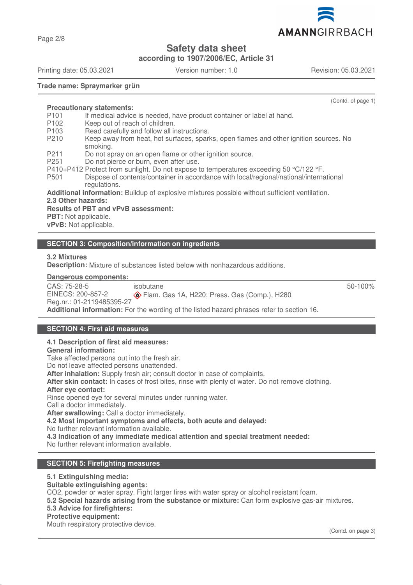Page 2/8

## **Safety data sheet**

**according to 1907/2006/EC, Article 31**

Printing date: 05.03.2021 Version number: 1.0 Revision: 05.03.2021

(Contd. of page 1)

### **Trade name: Spraymarker grün**

**Precautionary statements:**

- P101 If medical advice is needed, have product container or label at hand.
- P<sub>102</sub> Keep out of reach of children.
- P103 Read carefully and follow all instructions.
- P210 Keep away from heat, hot surfaces, sparks, open flames and other ignition sources. No smoking.
- P211 Do not spray on an open flame or other ignition source.
- P251 Do not pierce or burn, even after use.
- P410+P412 Protect from sunlight. Do not expose to temperatures exceeding 50 °C/122 °F.
- P501 Dispose of contents/container in accordance with local/regional/national/international regulations.

**Additional information:** Buildup of explosive mixtures possible without sufficient ventilation.

## **2.3 Other hazards:**

**Results of PBT and vPvB assessment: PBT:** Not applicable.

**vPvB:** Not applicable.

### **SECTION 3: Composition/information on ingredients**

**3.2 Mixtures**

**Description:** Mixture of substances listed below with nonhazardous additions.

#### **Dangerous components:**

CAS: 75-28-5 EINECS: 200-857-2 Reg.nr.: 01-2119485395-27 isobutane Flam. Gas 1A, H220; Press. Gas (Comp.), H280 **Additional information:** For the wording of the listed hazard phrases refer to section 16.

### **SECTION 4: First aid measures**

#### **4.1 Description of first aid measures:**

**General information:**

Take affected persons out into the fresh air.

Do not leave affected persons unattended.

**After inhalation:** Supply fresh air; consult doctor in case of complaints.

**After skin contact:** In cases of frost bites, rinse with plenty of water. Do not remove clothing.

#### **After eye contact:**

Rinse opened eye for several minutes under running water.

Call a doctor immediately. **After swallowing:** Call a doctor immediately.

**4.2 Most important symptoms and effects, both acute and delayed:**

No further relevant information available.

**4.3 Indication of any immediate medical attention and special treatment needed:**

No further relevant information available.

### **SECTION 5: Firefighting measures**

#### **5.1 Extinguishing media:**

**Suitable extinguishing agents:**

CO2, powder or water spray. Fight larger fires with water spray or alcohol resistant foam.

**5.2 Special hazards arising from the substance or mixture:** Can form explosive gas-air mixtures.

#### **5.3 Advice for firefighters:**

#### **Protective equipment:**

Mouth respiratory protective device.



AMANNGIRRBACH

50-100%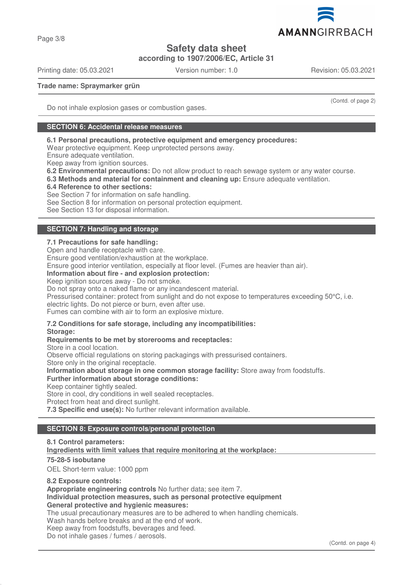

Page 3/8

# **Safety data sheet**

**according to 1907/2006/EC, Article 31**

Printing date: 05.03.2021 Version number: 1.0 Revision: 05.03.2021

(Contd. of page 2)

**Trade name: Spraymarker grün**

Do not inhale explosion gases or combustion gases.

### **SECTION 6: Accidental release measures**

### **6.1 Personal precautions, protective equipment and emergency procedures:**

Wear protective equipment. Keep unprotected persons away.

Ensure adequate ventilation.

Keep away from ignition sources.

**6.2 Environmental precautions:** Do not allow product to reach sewage system or any water course.

**6.3 Methods and material for containment and cleaning up:** Ensure adequate ventilation.

#### **6.4 Reference to other sections:**

See Section 7 for information on safe handling.

See Section 8 for information on personal protection equipment.

See Section 13 for disposal information.

## **SECTION 7: Handling and storage**

## **7.1 Precautions for safe handling:**

Open and handle receptacle with care.

Ensure good ventilation/exhaustion at the workplace.

Ensure good interior ventilation, especially at floor level. (Fumes are heavier than air).

#### **Information about fire - and explosion protection:**

Keep ignition sources away - Do not smoke.

Do not spray onto a naked flame or any incandescent material.

Pressurised container: protect from sunlight and do not expose to temperatures exceeding 50°C, i.e.

electric lights. Do not pierce or burn, even after use.

Fumes can combine with air to form an explosive mixture.

# **7.2 Conditions for safe storage, including any incompatibilities:**

**Storage:**

#### **Requirements to be met by storerooms and receptacles:**

Store in a cool location. Observe official regulations on storing packagings with pressurised containers. Store only in the original receptacle. **Information about storage in one common storage facility:** Store away from foodstuffs. **Further information about storage conditions:** Keep container tightly sealed. Store in cool, dry conditions in well sealed receptacles. Protect from heat and direct sunlight.

**7.3 Specific end use(s):** No further relevant information available.

## **SECTION 8: Exposure controls/personal protection**

**8.1 Control parameters:** Ingredients with limit values that require monitoring at the workplace: **75-28-5 isobutane** OEL Short-term value: 1000 ppm **8.2 Exposure controls: Appropriate engineering controls** No further data; see item 7. **Individual protection measures, such as personal protective equipment General protective and hygienic measures:** The usual precautionary measures are to be adhered to when handling chemicals. Wash hands before breaks and at the end of work. Keep away from foodstuffs, beverages and feed.

Do not inhale gases / fumes / aerosols.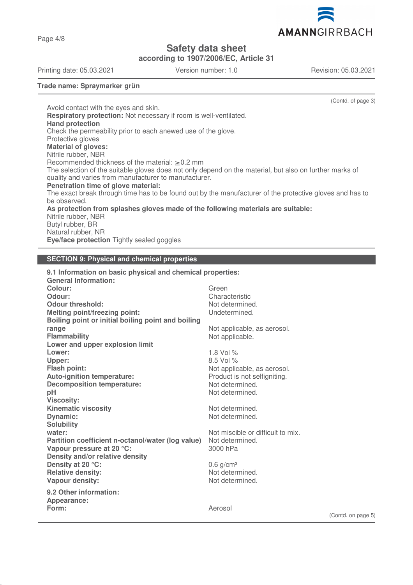AMANNGIRRBACH

# **Safety data sheet**

**according to 1907/2006/EC, Article 31**

Printing date: 05.03.2021 Version number: 1.0 Revision: 05.03.2021

**Trade name: Spraymarker grün**

(Contd. of page 3) Avoid contact with the eyes and skin. **Respiratory protection:** Not necessary if room is well-ventilated. **Hand protection** Check the permeability prior to each anewed use of the glove. Protective gloves **Material of gloves:** Nitrile rubber, NBR Recommended thickness of the material:  $\geq 0.2$  mm The selection of the suitable gloves does not only depend on the material, but also on further marks of quality and varies from manufacturer to manufacturer. **Penetration time of glove material:** The exact break through time has to be found out by the manufacturer of the protective gloves and has to be observed. **As protection from splashes gloves made of the following materials are suitable:** Nitrile rubber, NBR Butyl rubber, BR Natural rubber, NR

**Eve/face protection** Tightly sealed goggles

#### **SECTION 9: Physical and chemical properties**

| 9.1 Information on basic physical and chemical properties: |                                   |  |
|------------------------------------------------------------|-----------------------------------|--|
| <b>General Information:</b>                                |                                   |  |
| Colour:                                                    | Green                             |  |
| Odour:                                                     | Characteristic                    |  |
| Odour threshold:                                           | Not determined.                   |  |
| <b>Melting point/freezing point:</b>                       | Undetermined.                     |  |
| Boiling point or initial boiling point and boiling         |                                   |  |
| range                                                      | Not applicable, as aerosol.       |  |
| <b>Flammability</b>                                        | Not applicable.                   |  |
| Lower and upper explosion limit                            |                                   |  |
| Lower:                                                     | 1.8 Vol $\%$                      |  |
| Upper:                                                     | 8.5 Vol %                         |  |
| <b>Flash point:</b>                                        | Not applicable, as aerosol.       |  |
| Auto-ignition temperature:                                 | Product is not selfigniting.      |  |
| <b>Decomposition temperature:</b>                          | Not determined.                   |  |
| pH                                                         | Not determined.                   |  |
| <b>Viscosity:</b>                                          |                                   |  |
| <b>Kinematic viscosity</b>                                 | Not determined.                   |  |
| <b>Dynamic:</b>                                            | Not determined.                   |  |
| <b>Solubility</b>                                          |                                   |  |
| water:                                                     | Not miscible or difficult to mix. |  |
| Partition coefficient n-octanol/water (log value)          | Not determined.                   |  |
| Vapour pressure at 20 °C:                                  | 3000 hPa                          |  |
| Density and/or relative density                            |                                   |  |
| Density at 20 °C:                                          | $0.6$ g/cm <sup>3</sup>           |  |
| <b>Relative density:</b>                                   | Not determined.                   |  |
| Vapour density:                                            | Not determined.                   |  |
| 9.2 Other information:                                     |                                   |  |
| Appearance:                                                |                                   |  |
| Form:                                                      | Aerosol                           |  |
|                                                            |                                   |  |
|                                                            |                                   |  |

Page 4/8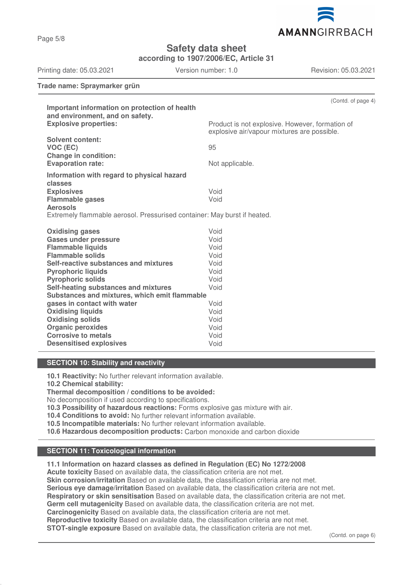

Page 5/8

# **Safety data sheet**

**according to 1907/2006/EC, Article 31**

Printing date: 05.03.2021 Version number: 1.0 Revision: 05.03.2021

**Trade name: Spraymarker grün**

| Important information on protection of health                                               | (Contd. of page 4)                                                                             |  |
|---------------------------------------------------------------------------------------------|------------------------------------------------------------------------------------------------|--|
| and environment, and on safety.                                                             |                                                                                                |  |
| <b>Explosive properties:</b>                                                                | Product is not explosive. However, formation of<br>explosive air/vapour mixtures are possible. |  |
| <b>Solvent content:</b><br>VOC (EC)                                                         | 95                                                                                             |  |
| <b>Change in condition:</b><br><b>Evaporation rate:</b>                                     | Not applicable.                                                                                |  |
| Information with regard to physical hazard<br>classes                                       |                                                                                                |  |
| <b>Explosives</b>                                                                           | Void                                                                                           |  |
| <b>Flammable gases</b>                                                                      | Void                                                                                           |  |
| <b>Aerosols</b><br>Extremely flammable aerosol. Pressurised container: May burst if heated. |                                                                                                |  |
|                                                                                             |                                                                                                |  |
| <b>Oxidising gases</b>                                                                      | Void                                                                                           |  |
| <b>Gases under pressure</b>                                                                 | Void                                                                                           |  |
| <b>Flammable liquids</b>                                                                    | Void                                                                                           |  |
| <b>Flammable solids</b>                                                                     | Void                                                                                           |  |
| Self-reactive substances and mixtures                                                       | Void                                                                                           |  |
| <b>Pyrophoric liquids</b>                                                                   | Void                                                                                           |  |
| <b>Pyrophoric solids</b>                                                                    | Void                                                                                           |  |
| Self-heating substances and mixtures                                                        | Void                                                                                           |  |
| Substances and mixtures, which emit flammable                                               |                                                                                                |  |
| gases in contact with water                                                                 | Void                                                                                           |  |
| <b>Oxidising liquids</b>                                                                    | Void                                                                                           |  |
| <b>Oxidising solids</b>                                                                     | Void                                                                                           |  |
| <b>Organic peroxides</b>                                                                    | Void                                                                                           |  |
| <b>Corrosive to metals</b>                                                                  | Void                                                                                           |  |
| <b>Desensitised explosives</b>                                                              | Void                                                                                           |  |

#### **SECTION 10: Stability and reactivity**

**10.1 Reactivity:** No further relevant information available.

**10.2 Chemical stability:**

**Thermal decomposition / conditions to be avoided:**

No decomposition if used according to specifications.

**10.3 Possibility of hazardous reactions:** Forms explosive gas mixture with air.

**10.4 Conditions to avoid:** No further relevant information available.

**10.5 Incompatible materials:** No further relevant information available.

**10.6 Hazardous decomposition products:** Carbon monoxide and carbon dioxide

### **SECTION 11: Toxicological information**

**11.1 Information on hazard classes as defined in Regulation (EC) No 1272/2008**

**Acute toxicity** Based on available data, the classification criteria are not met. **Skin corrosion/irritation** Based on available data, the classification criteria are not met. **Serious eye damage/irritation** Based on available data, the classification criteria are not met. **Respiratory or skin sensitisation** Based on available data, the classification criteria are not met. **Germ cell mutagenicity** Based on available data, the classification criteria are not met. **Carcinogenicity** Based on available data, the classification criteria are not met. **Reproductive toxicity** Based on available data, the classification criteria are not met. **STOT-single exposure** Based on available data, the classification criteria are not met.

(Contd. on page 6)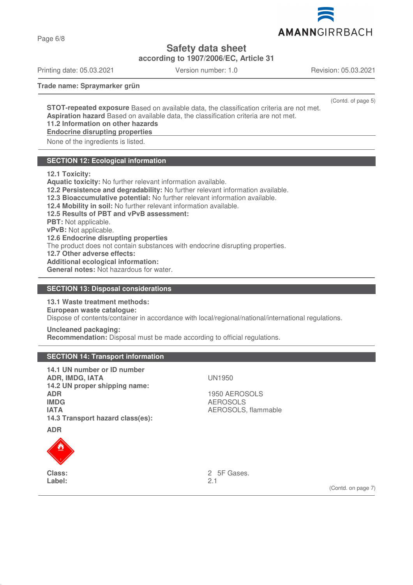

Page 6/8

**Safety data sheet**

**according to 1907/2006/EC, Article 31**

Printing date: 05.03.2021 Version number: 1.0 Revision: 05.03.2021

**Trade name: Spraymarker grün**

(Contd. of page 5)

**STOT-repeated exposure** Based on available data, the classification criteria are not met. **Aspiration hazard** Based on available data, the classification criteria are not met. **11.2 Information on other hazards**

**Endocrine disrupting properties** 

None of the ingredients is listed.

### **SECTION 12: Ecological information**

**12.1 Toxicity:**

**Aquatic toxicity:** No further relevant information available. **12.2 Persistence and degradability:** No further relevant information available. **12.3 Bioaccumulative potential:** No further relevant information available. **12.4 Mobility in soil:** No further relevant information available. **12.5 Results of PBT and vPvB assessment: PBT:** Not applicable. **vPvB:** Not applicable. **12.6 Endocrine disrupting properties** The product does not contain substances with endocrine disrupting properties. **12.7 Other adverse effects: Additional ecological information: General notes:** Not hazardous for water.

### **SECTION 13: Disposal considerations**

**13.1 Waste treatment methods: European waste catalogue:** Dispose of contents/container in accordance with local/regional/national/international regulations.

**Uncleaned packaging: Recommendation:** Disposal must be made according to official regulations.

#### **SECTION 14: Transport information**

| 14.1 UN number or ID number<br><b>ADR, IMDG, IATA</b><br>14.2 UN proper shipping name:<br><b>ADR</b><br><b>IMDG</b><br><b>IATA</b><br>14.3 Transport hazard class(es): | <b>UN1950</b><br>1950 AEROSOLS<br><b>AEROSOLS</b><br>AEROSOLS, flammable |                    |
|------------------------------------------------------------------------------------------------------------------------------------------------------------------------|--------------------------------------------------------------------------|--------------------|
| <b>ADR</b>                                                                                                                                                             |                                                                          |                    |
| <b>Class:</b><br>Label:                                                                                                                                                | 2 5F Gases.<br>2.1                                                       | (Contd. on page 7) |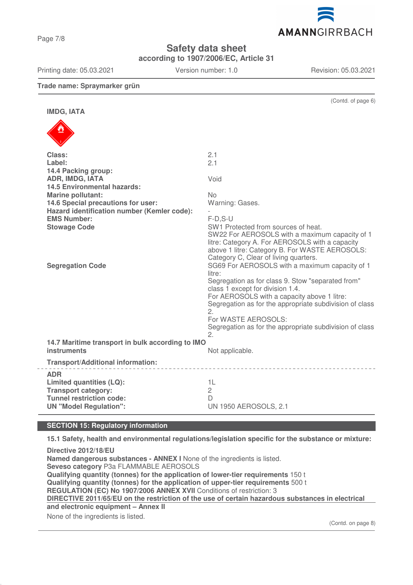Page 7/8

## **Safety data sheet**

**according to 1907/2006/EC, Article 31**

Printing date: 05.03.2021 Version number: 1.0 Revision: 05.03.2021

(Contd. of page 6)

## **Trade name: Spraymarker grün**

**IMDG, IATA**

| Class:                                           | 2.1                                                                                                                                      |
|--------------------------------------------------|------------------------------------------------------------------------------------------------------------------------------------------|
| Label:                                           | 2.1                                                                                                                                      |
| 14.4 Packing group:                              |                                                                                                                                          |
| ADR, IMDG, IATA                                  | Void                                                                                                                                     |
| <b>14.5 Environmental hazards:</b>               |                                                                                                                                          |
| <b>Marine pollutant:</b>                         | <b>No</b>                                                                                                                                |
| 14.6 Special precautions for user:               | Warning: Gases.                                                                                                                          |
| Hazard identification number (Kemler code):      |                                                                                                                                          |
| <b>EMS Number:</b>                               | $F-D, S-U$                                                                                                                               |
| <b>Stowage Code</b>                              | SW1 Protected from sources of heat.<br>SW22 For AEROSOLS with a maximum capacity of 1<br>litre: Category A. For AEROSOLS with a capacity |
|                                                  | above 1 litre: Category B. For WASTE AEROSOLS:                                                                                           |
|                                                  | Category C, Clear of living quarters.                                                                                                    |
| <b>Segregation Code</b>                          | SG69 For AEROSOLS with a maximum capacity of 1                                                                                           |
|                                                  | litre:                                                                                                                                   |
|                                                  | Segregation as for class 9. Stow "separated from"<br>class 1 except for division 1.4.                                                    |
|                                                  | For AEROSOLS with a capacity above 1 litre:                                                                                              |
|                                                  | Segregation as for the appropriate subdivision of class                                                                                  |
|                                                  | 2.                                                                                                                                       |
|                                                  | For WASTE AEROSOLS:                                                                                                                      |
|                                                  | Segregation as for the appropriate subdivision of class                                                                                  |
|                                                  | 2.                                                                                                                                       |
| 14.7 Maritime transport in bulk according to IMO |                                                                                                                                          |
| <b>instruments</b>                               | Not applicable.                                                                                                                          |
| <b>Transport/Additional information:</b>         |                                                                                                                                          |
| <b>ADR</b>                                       |                                                                                                                                          |
| Limited quantities (LQ):                         | 1L                                                                                                                                       |
| <b>Transport category:</b>                       | $\overline{c}$                                                                                                                           |
| <b>Tunnel restriction code:</b>                  | D                                                                                                                                        |
| <b>UN "Model Regulation":</b>                    | <b>UN 1950 AEROSOLS, 2.1</b>                                                                                                             |

## **SECTION 15: Regulatory information**

**15.1 Safety, health and environmental regulations/legislation specific for the substance or mixture:**

**Directive 2012/18/EU Named dangerous substances - ANNEX I** None of the ingredients is listed. **Seveso category** P3a FLAMMABLE AEROSOLS **Qualifying quantity (tonnes) for the application of lower-tier requirements** 150 t **Qualifying quantity (tonnes) for the application of upper-tier requirements** 500 t **REGULATION (EC) No 1907/2006 ANNEX XVII** Conditions of restriction: 3 **DIRECTIVE 2011/65/EU on the restriction of the use of certain hazardous substances in electrical and electronic equipment – Annex II**

None of the ingredients is listed.

(Contd. on page 8)